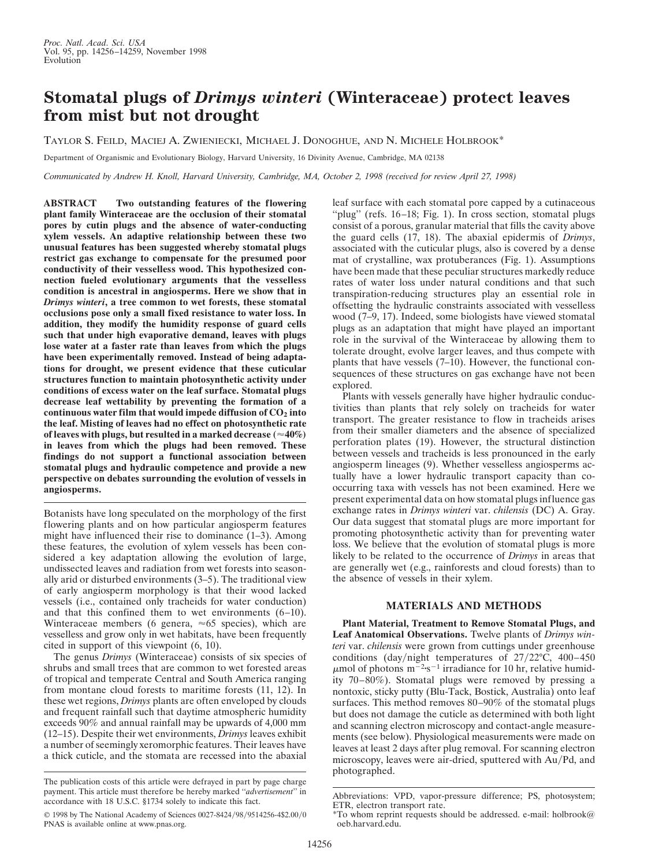## **Stomatal plugs of** *Drimys winteri* **(Winteraceae) protect leaves from mist but not drought**

TAYLOR S. FEILD, MACIEJ A. ZWIENIECKI, MICHAEL J. DONOGHUE, AND N. MICHELE HOLBROOK\*

Department of Organismic and Evolutionary Biology, Harvard University, 16 Divinity Avenue, Cambridge, MA 02138

*Communicated by Andrew H. Knoll, Harvard University, Cambridge, MA, October 2, 1998 (received for review April 27, 1998)*

**ABSTRACT Two outstanding features of the flowering plant family Winteraceae are the occlusion of their stomatal pores by cutin plugs and the absence of water-conducting xylem vessels. An adaptive relationship between these two unusual features has been suggested whereby stomatal plugs restrict gas exchange to compensate for the presumed poor conductivity of their vesselless wood. This hypothesized connection fueled evolutionary arguments that the vesselless condition is ancestral in angiosperms. Here we show that in** *Drimys winteri***, a tree common to wet forests, these stomatal occlusions pose only a small fixed resistance to water loss. In addition, they modify the humidity response of guard cells such that under high evaporative demand, leaves with plugs lose water at a faster rate than leaves from which the plugs have been experimentally removed. Instead of being adaptations for drought, we present evidence that these cuticular structures function to maintain photosynthetic activity under conditions of excess water on the leaf surface. Stomatal plugs decrease leaf wettability by preventing the formation of a continuous water film that would impede diffusion of CO2 into the leaf. Misting of leaves had no effect on photosynthetic rate** of leaves with plugs, but resulted in a marked decrease  $(\approx 40\%)$ **in leaves from which the plugs had been removed. These findings do not support a functional association between stomatal plugs and hydraulic competence and provide a new perspective on debates surrounding the evolution of vessels in angiosperms.**

Botanists have long speculated on the morphology of the first flowering plants and on how particular angiosperm features might have influenced their rise to dominance (1–3). Among these features, the evolution of xylem vessels has been considered a key adaptation allowing the evolution of large, undissected leaves and radiation from wet forests into seasonally arid or disturbed environments (3–5). The traditional view of early angiosperm morphology is that their wood lacked vessels (i.e., contained only tracheids for water conduction) and that this confined them to wet environments (6–10). Winteraceae members (6 genera,  $\approx 65$  species), which are vesselless and grow only in wet habitats, have been frequently cited in support of this viewpoint (6, 10).

The genus *Drimys* (Winteraceae) consists of six species of shrubs and small trees that are common to wet forested areas of tropical and temperate Central and South America ranging from montane cloud forests to maritime forests (11, 12). In these wet regions, *Drimys* plants are often enveloped by clouds and frequent rainfall such that daytime atmospheric humidity exceeds 90% and annual rainfall may be upwards of 4,000 mm (12–15). Despite their wet environments, *Drimys* leaves exhibit a number of seemingly xeromorphic features. Their leaves have a thick cuticle, and the stomata are recessed into the abaxial

leaf surface with each stomatal pore capped by a cutinaceous "plug" (refs. 16–18; Fig. 1). In cross section, stomatal plugs consist of a porous, granular material that fills the cavity above the guard cells (17, 18). The abaxial epidermis of *Drimys*, associated with the cuticular plugs, also is covered by a dense mat of crystalline, wax protuberances (Fig. 1). Assumptions have been made that these peculiar structures markedly reduce rates of water loss under natural conditions and that such transpiration-reducing structures play an essential role in offsetting the hydraulic constraints associated with vesselless wood (7–9, 17). Indeed, some biologists have viewed stomatal plugs as an adaptation that might have played an important role in the survival of the Winteraceae by allowing them to tolerate drought, evolve larger leaves, and thus compete with plants that have vessels (7–10). However, the functional consequences of these structures on gas exchange have not been explored.

Plants with vessels generally have higher hydraulic conductivities than plants that rely solely on tracheids for water transport. The greater resistance to flow in tracheids arises from their smaller diameters and the absence of specialized perforation plates (19). However, the structural distinction between vessels and tracheids is less pronounced in the early angiosperm lineages (9). Whether vesselless angiosperms actually have a lower hydraulic transport capacity than cooccurring taxa with vessels has not been examined. Here we present experimental data on how stomatal plugs influence gas exchange rates in *Drimys winteri* var. *chilensis* (DC) A. Gray. Our data suggest that stomatal plugs are more important for promoting photosynthetic activity than for preventing water loss. We believe that the evolution of stomatal plugs is more likely to be related to the occurrence of *Drimys* in areas that are generally wet (e.g., rainforests and cloud forests) than to the absence of vessels in their xylem.

## **MATERIALS AND METHODS**

**Plant Material, Treatment to Remove Stomatal Plugs, and Leaf Anatomical Observations.** Twelve plants of *Drimys winteri* var. *chilensis* were grown from cuttings under greenhouse conditions (day/night temperatures of  $27/22$ °C, 400–450  $\mu$ mol of photons m<sup>-2</sup>·s<sup>-1</sup> irradiance for 10 hr, relative humidity 70–80%). Stomatal plugs were removed by pressing a nontoxic, sticky putty (Blu-Tack, Bostick, Australia) onto leaf surfaces. This method removes 80–90% of the stomatal plugs but does not damage the cuticle as determined with both light and scanning electron microscopy and contact-angle measurements (see below). Physiological measurements were made on leaves at least 2 days after plug removal. For scanning electron microscopy, leaves were air-dried, sputtered with Au/Pd, and photographed.

The publication costs of this article were defrayed in part by page charge payment. This article must therefore be hereby marked ''*advertisement*'' in accordance with 18 U.S.C. §1734 solely to indicate this fact.

<sup>© 1998</sup> by The National Academy of Sciences 0027-8424/98/9514256-4\$2.00/0 PNAS is available online at www.pnas.org.

Abbreviations: VPD, vapor-pressure difference; PS, photosystem; ETR, electron transport rate.

 $*$ To whom reprint requests should be addressed. e-mail: holbrook@ oeb.harvard.edu.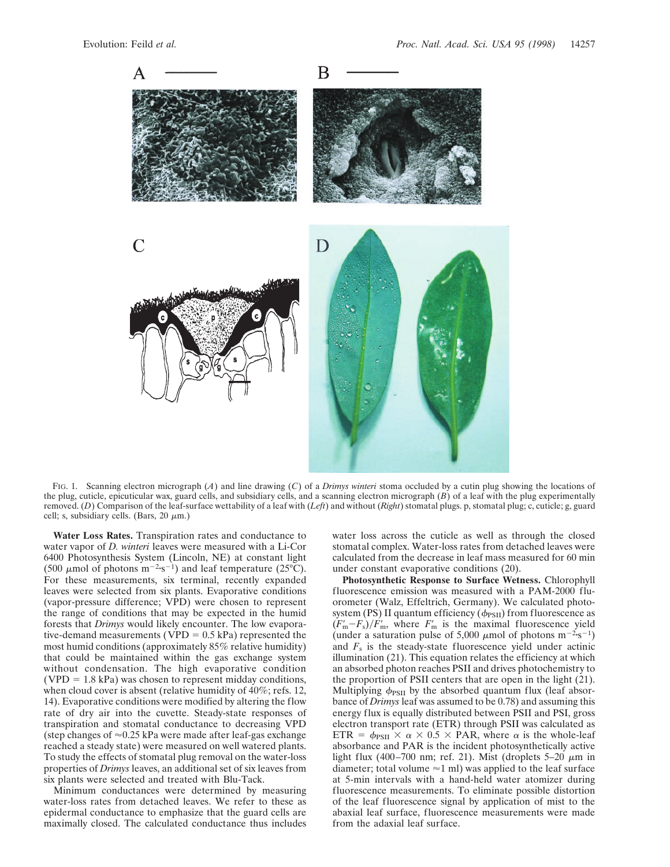

FIG. 1. Scanning electron micrograph (*A*) and line drawing (*C*) of a *Drimys winteri* stoma occluded by a cutin plug showing the locations of the plug, cuticle, epicuticular wax, guard cells, and subsidiary cells, and a scanning electron micrograph (*B*) of a leaf with the plug experimentally removed. (*D*) Comparison of the leaf-surface wettability of a leaf with (*Left*) and without (*Right*) stomatal plugs. p, stomatal plug; c, cuticle; g, guard cell; s, subsidiary cells. (Bars,  $20 \mu m$ .)

**Water Loss Rates.** Transpiration rates and conductance to water vapor of *D. winteri* leaves were measured with a Li-Cor 6400 Photosynthesis System (Lincoln, NE) at constant light (500  $\mu$ mol of photons m<sup>-2</sup>·s<sup>-1</sup>) and leaf temperature (25°C). For these measurements, six terminal, recently expanded leaves were selected from six plants. Evaporative conditions (vapor-pressure difference; VPD) were chosen to represent the range of conditions that may be expected in the humid forests that *Drimys* would likely encounter. The low evaporative-demand measurements (VPD  $= 0.5$  kPa) represented the most humid conditions (approximately 85% relative humidity) that could be maintained within the gas exchange system without condensation. The high evaporative condition  $(VPD = 1.8$  kPa) was chosen to represent midday conditions, when cloud cover is absent (relative humidity of 40%; refs. 12, 14). Evaporative conditions were modified by altering the flow rate of dry air into the cuvette. Steady-state responses of transpiration and stomatal conductance to decreasing VPD (step changes of  $\approx 0.25$  kPa were made after leaf-gas exchange reached a steady state) were measured on well watered plants. To study the effects of stomatal plug removal on the water-loss properties of *Drimys* leaves, an additional set of six leaves from six plants were selected and treated with Blu-Tack.

Minimum conductances were determined by measuring water-loss rates from detached leaves. We refer to these as epidermal conductance to emphasize that the guard cells are maximally closed. The calculated conductance thus includes water loss across the cuticle as well as through the closed stomatal complex. Water-loss rates from detached leaves were calculated from the decrease in leaf mass measured for 60 min under constant evaporative conditions (20).

**Photosynthetic Response to Surface Wetness.** Chlorophyll fluorescence emission was measured with a PAM-2000 fluorometer (Walz, Effeltrich, Germany). We calculated photosystem (PS) II quantum efficiency ( $\phi$ <sub>PSII</sub>) from fluorescence as  $(F<sub>m</sub>-F<sub>s</sub>)/F<sub>m</sub>$ , where  $F<sub>m</sub>$  is the maximal fluorescence yield (under a saturation pulse of 5,000  $\mu$ mol of photons m<sup>-2</sup>·s<sup>-1</sup>) and  $F<sub>s</sub>$  is the steady-state fluorescence yield under actinic illumination (21). This equation relates the efficiency at which an absorbed photon reaches PSII and drives photochemistry to the proportion of PSII centers that are open in the light (21). Multiplying  $\phi_{PSII}$  by the absorbed quantum flux (leaf absorbance of *Drimys* leaf was assumed to be 0.78) and assuming this energy flux is equally distributed between PSII and PSI, gross electron transport rate (ETR) through PSII was calculated as ETR =  $\phi_{PSII} \times \alpha \times 0.5 \times PAR$ , where  $\alpha$  is the whole-leaf absorbance and PAR is the incident photosynthetically active light flux (400–700 nm; ref. 21). Mist (droplets  $5-20 \mu m$  in diameter; total volume  $\approx$ 1 ml) was applied to the leaf surface at 5-min intervals with a hand-held water atomizer during fluorescence measurements. To eliminate possible distortion of the leaf fluorescence signal by application of mist to the abaxial leaf surface, fluorescence measurements were made from the adaxial leaf surface.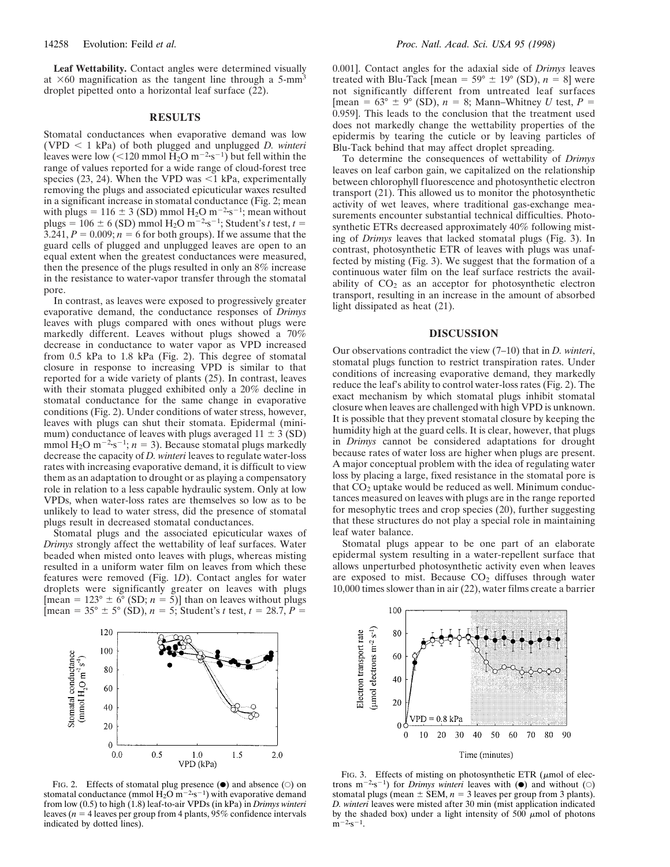**Leaf Wettability.** Contact angles were determined visually at  $\times 60$  magnification as the tangent line through a 5-mm<sup>3</sup> droplet pipetted onto a horizontal leaf surface (22).

## **RESULTS**

Stomatal conductances when evaporative demand was low  $(VPD < 1$  kPa) of both plugged and unplugged *D. winteri* leaves were low (<120 mmol  $\overline{H_2O}$  m<sup>-2</sup>·s<sup>-1</sup>) but fell within the range of values reported for a wide range of cloud-forest tree species (23, 24). When the VPD was  $\leq$ 1 kPa, experimentally removing the plugs and associated epicuticular waxes resulted in a significant increase in stomatal conductance (Fig. 2; mean with plugs = 116  $\pm$  3 (SD) mmol H<sub>2</sub>O m<sup>-2</sup>·s<sup>-1</sup>; mean without plugs =  $106 \pm 6$  (SD) mmol H<sub>2</sub>O m<sup>-2</sup>·s<sup>-1</sup>; Student's *t* test, *t* = 3.241,  $P = 0.009$ ;  $n = 6$  for both groups). If we assume that the guard cells of plugged and unplugged leaves are open to an equal extent when the greatest conductances were measured, then the presence of the plugs resulted in only an 8% increase in the resistance to water-vapor transfer through the stomatal pore.

In contrast, as leaves were exposed to progressively greater evaporative demand, the conductance responses of *Drimys* leaves with plugs compared with ones without plugs were markedly different. Leaves without plugs showed a 70% decrease in conductance to water vapor as VPD increased from 0.5 kPa to 1.8 kPa (Fig. 2). This degree of stomatal closure in response to increasing VPD is similar to that reported for a wide variety of plants (25). In contrast, leaves with their stomata plugged exhibited only a 20% decline in stomatal conductance for the same change in evaporative conditions (Fig. 2). Under conditions of water stress, however, leaves with plugs can shut their stomata. Epidermal (minimum) conductance of leaves with plugs averaged  $11 \pm 3$  (SD) mmol H<sub>2</sub>O m<sup>-2</sup>·s<sup>-1</sup>; *n* = 3). Because stomatal plugs markedly decrease the capacity of *D. winteri* leaves to regulate water-loss rates with increasing evaporative demand, it is difficult to view them as an adaptation to drought or as playing a compensatory role in relation to a less capable hydraulic system. Only at low VPDs, when water-loss rates are themselves so low as to be unlikely to lead to water stress, did the presence of stomatal plugs result in decreased stomatal conductances.

Stomatal plugs and the associated epicuticular waxes of *Drimys* strongly affect the wettability of leaf surfaces. Water beaded when misted onto leaves with plugs, whereas misting resulted in a uniform water film on leaves from which these features were removed (Fig. 1*D*). Contact angles for water droplets were significantly greater on leaves with plugs  $[\text{mean} = 123^\circ \pm 6^\circ \text{ (SD; } n = 5)]$  than on leaves without plugs  $\int \text{mean} = 35^{\circ} \pm 5^{\circ} \text{ (SD)}, n = 5$ ; Student's *t* test,  $t = 28.7$ ,  $P =$ 

0.001]. Contact angles for the adaxial side of *Drimys* leaves treated with Blu-Tack [mean =  $59^{\circ} \pm 19^{\circ}$  (SD),  $n = 8$ ] were not significantly different from untreated leaf surfaces [mean =  $63^{\circ} \pm 9^{\circ}$  (SD),  $n = 8$ ; Mann–Whitney *U* test,  $P =$ 0.959]. This leads to the conclusion that the treatment used does not markedly change the wettability properties of the epidermis by tearing the cuticle or by leaving particles of Blu-Tack behind that may affect droplet spreading.

To determine the consequences of wettability of *Drimys* leaves on leaf carbon gain, we capitalized on the relationship between chlorophyll fluorescence and photosynthetic electron transport (21). This allowed us to monitor the photosynthetic activity of wet leaves, where traditional gas-exchange measurements encounter substantial technical difficulties. Photosynthetic ETRs decreased approximately 40% following misting of *Drimys* leaves that lacked stomatal plugs (Fig. 3). In contrast, photosynthetic ETR of leaves with plugs was unaffected by misting (Fig. 3). We suggest that the formation of a continuous water film on the leaf surface restricts the availability of  $CO<sub>2</sub>$  as an acceptor for photosynthetic electron transport, resulting in an increase in the amount of absorbed light dissipated as heat (21).

## **DISCUSSION**

Our observations contradict the view (7–10) that in *D. winteri*, stomatal plugs function to restrict transpiration rates. Under conditions of increasing evaporative demand, they markedly reduce the leaf's ability to control water-loss rates (Fig. 2). The exact mechanism by which stomatal plugs inhibit stomatal closure when leaves are challenged with high VPD is unknown. It is possible that they prevent stomatal closure by keeping the humidity high at the guard cells. It is clear, however, that plugs in *Drimys* cannot be considered adaptations for drought because rates of water loss are higher when plugs are present. A major conceptual problem with the idea of regulating water loss by placing a large, fixed resistance in the stomatal pore is that  $CO<sub>2</sub>$  uptake would be reduced as well. Minimum conductances measured on leaves with plugs are in the range reported for mesophytic trees and crop species (20), further suggesting that these structures do not play a special role in maintaining leaf water balance.

Stomatal plugs appear to be one part of an elaborate epidermal system resulting in a water-repellent surface that allows unperturbed photosynthetic activity even when leaves are exposed to mist. Because  $CO<sub>2</sub>$  diffuses through water 10,000 times slower than in air (22), water films create a barrier



FIG. 2. Effects of stomatal plug presence  $(\bullet)$  and absence  $(\circ)$  on stomatal conductance (mmol  $\overline{H}_2O$  m<sup>-2</sup>·s<sup>-1</sup>) with evaporative demand from low (0.5) to high (1.8) leaf-to-air VPDs (in kPa) in *Drimys winteri* leaves ( $n = 4$  leaves per group from 4 plants, 95% confidence intervals indicated by dotted lines).



FIG. 3. Effects of misting on photosynthetic ETR ( $\mu$ mol of electrons  $m^{-2} s^{-1}$ ) for *Drimys winteri* leaves with ( $\bullet$ ) and without ( $\circ$ ) stomatal plugs (mean  $\pm$  SEM,  $n = 3$  leaves per group from 3 plants). *D. winteri* leaves were misted after 30 min (mist application indicated by the shaded box) under a light intensity of 500  $\mu$ mol of photons  $m^{-2}$ ss<sup>-1</sup>